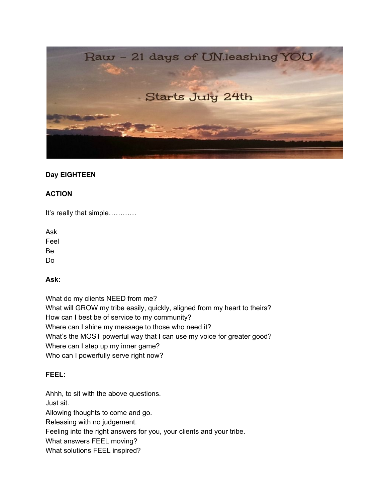

# **Day EIGHTEEN**

### **ACTION**

It's really that simple…………

Ask Feel Be Do

### **Ask:**

What do my clients NEED from me? What will GROW my tribe easily, quickly, aligned from my heart to theirs? How can I best be of service to my community? Where can I shine my message to those who need it? What's the MOST powerful way that I can use my voice for greater good? Where can I step up my inner game? Who can I powerfully serve right now?

### **FEEL:**

Ahhh, to sit with the above questions. Just sit. Allowing thoughts to come and go. Releasing with no judgement. Feeling into the right answers for you, your clients and your tribe. What answers FEEL moving? What solutions FEEL inspired?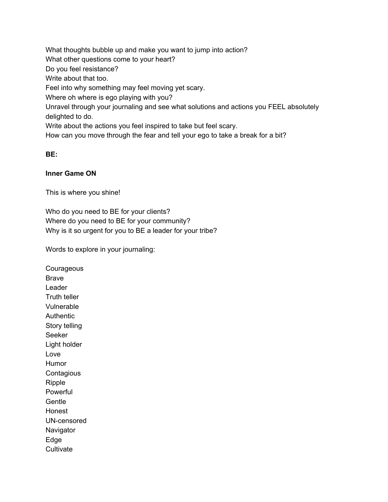What thoughts bubble up and make you want to jump into action? What other questions come to your heart? Do you feel resistance? Write about that too. Feel into why something may feel moving yet scary. Where oh where is ego playing with you? Unravel through your journaling and see what solutions and actions you FEEL absolutely delighted to do. Write about the actions you feel inspired to take but feel scary. How can you move through the fear and tell your ego to take a break for a bit?

### **BE:**

#### **Inner Game ON**

This is where you shine!

Who do you need to BE for your clients? Where do you need to BE for your community? Why is it so urgent for you to BE a leader for your tribe?

Words to explore in your journaling:

**Courageous** Brave Leader Truth teller Vulnerable Authentic Story telling Seeker Light holder Love Humor **Contagious** Ripple **Powerful Gentle** Honest UN-censored **Navigator** Edge **Cultivate**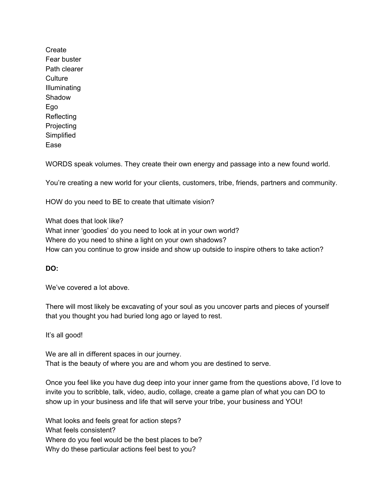**Create** Fear buster Path clearer **Culture** Illuminating Shadow Ego Reflecting **Projecting Simplified** Ease

WORDS speak volumes. They create their own energy and passage into a new found world.

You're creating a new world for your clients, customers, tribe, friends, partners and community.

HOW do you need to BE to create that ultimate vision?

What does that look like? What inner 'goodies' do you need to look at in your own world? Where do you need to shine a light on your own shadows? How can you continue to grow inside and show up outside to inspire others to take action?

# **DO:**

We've covered a lot above.

There will most likely be excavating of your soul as you uncover parts and pieces of yourself that you thought you had buried long ago or layed to rest.

It's all good!

We are all in different spaces in our journey. That is the beauty of where you are and whom you are destined to serve.

Once you feel like you have dug deep into your inner game from the questions above, I'd love to invite you to scribble, talk, video, audio, collage, create a game plan of what you can DO to show up in your business and life that will serve your tribe, your business and YOU!

What looks and feels great for action steps? What feels consistent? Where do you feel would be the best places to be? Why do these particular actions feel best to you?